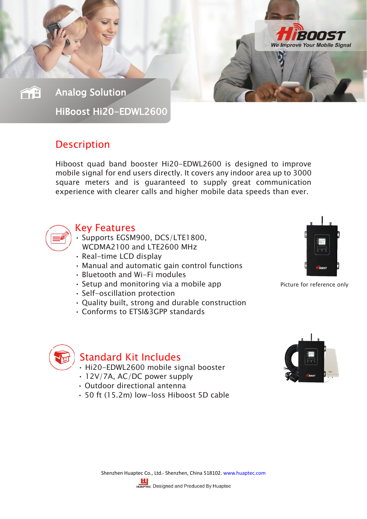Analog Solution

ŐÊ

HiBoost Hi20-EDWL2600

## **Description**

Hiboost quad band booster Hi20-EDWL2600 is designed to improve mobile signal for end users directly. It covers any indoor area up to 3000 square meters and is guaranteed to supply great communication experience with clearer calls and higher mobile data speeds than ever.



#### Key Features

- Supports EGSM900, DCS/LTE1800, WCDMA2100 and LTE2600 MHz
- Real-time LCD display
- Manual and automatic gain control functions
- Bluetooth and Wi-Fi modules
- Setup and monitoring via a mobile app Picture for reference only
- Self-oscillation protection
- Quality built, strong and durable construction
- Conforms to ETSI&3GPP standards



200E Ve Improve Your Mobile Signal



### Standard Kit Includes

- Hi20-EDWL2600 mobile signal booster
- 12V/7A, AC/DC power supply
- Outdoor directional antenna
- 50 ft (15.2m) low-loss Hiboost 5D cable

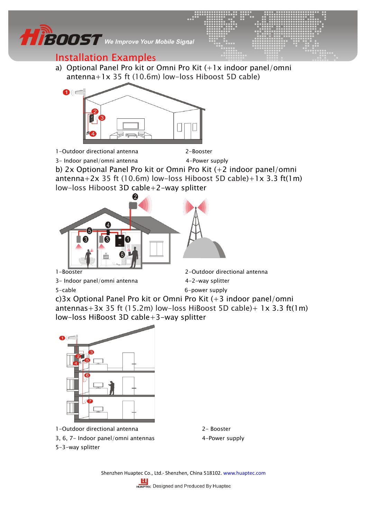

### Installation Examples

a) Optional Panel Pro kit or Omni Pro Kit (+1x indoor panel/omni antenna+1x 35 ft (10.6m) low-loss Hiboost 5D cable)



1-Outdoor directional antenna 2-Booster

3- Indoor panel/omni antenna 4-Power supply

b) 2x Optional Panel Pro kit or Omni Pro Kit (+2 indoor panel/omni antenna+2x 35 ft (10.6m) low-loss Hiboost 5D cable)+1x 3.3 ft(1m) low-loss Hiboost 3D cable+2-way splitter



- 3- Indoor panel/omni antenna 4-2-way splitter
- 

5-cable 6-power supply c)3x Optional Panel Pro kit or Omni Pro Kit (+3 indoor panel/omni antennas +  $3x$  35 ft (15.2m) low-loss HiBoost 5D cable) +  $1x$  3.3 ft(1m) low-loss HiBoost 3D cable+3-way splitter



1-Outdoor directional antenna 2- Booster

5-3-way splitter

- 3, 6, 7- Indoor panel/omni antennas 4-Power supply
- - Shenzhen Huaptec Co., Ltd.- Shenzhen, China 518102[. www.huaptec.com](http://www.huaptec.com/)

**LL**<br>HUAPTEC Designed and Produced By Huaptec